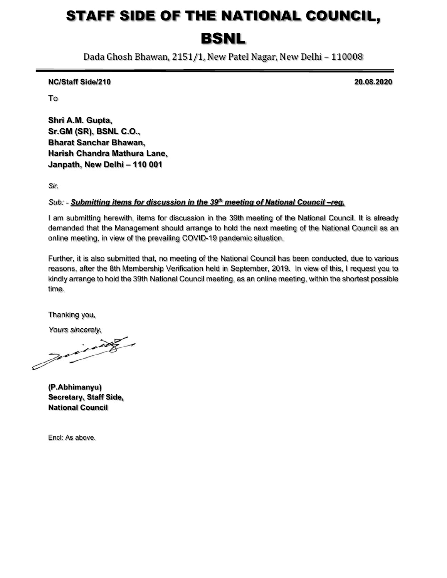# STAFF SIDE OF THE NATIONAL COUNCIL, BSNL

Dada Ghosh Bhawan, 2151/1, New Patel Nagar, New Delhi – 110008

NC/Staff Side/210 20.08.2020

To

Shri A.M. Gupta, Sr.GM (SR), BSNL C.O., Bharat Sanchar Bhawan, Harish Chandra Mathura Lane, Janpath, New Delhi – 110 001

Sir,

# Sub: - Submitting items for discussion in the 39<sup>th</sup> meeting of National Council –reg.

I am submitting herewith, items for discussion in the 39th meeting of the National Council. It is already demanded that the Management should arrange to hold the next meeting of the National Council as an online meeting, in view of the prevailing COVID-19 pandemic situation.

 Further, it is also submitted that, no meeting of the National Council has been conducted, due to various reasons, after the 8th Membership Verification held in September, 2019. In view of this, I request you to kindly arrange to hold the 39th National Council meeting, as an online meeting, within the shortest possible time.

Thanking you,

Yours sincerely,

(P.Abhimanyu) Secretary, Staff Side, National Council

Encl: As above.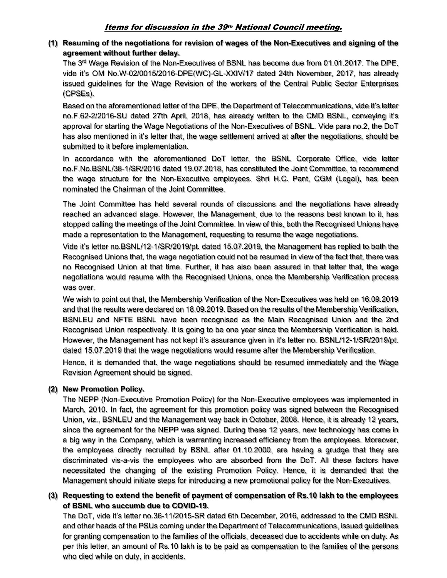# Items for discussion in the 39th National Council meeting.

(1) Resuming of the negotiations for revision of wages of the Non-Executives and signing of the agreement without further delay.

The 3<sup>rd</sup> Wage Revision of the Non-Executives of BSNL has become due from 01.01.2017. The DPE, vide it's OM No.W-02/0015/2016-DPE(WC)-GL-XXIV/17 dated 24th November, 2017, has already issued guidelines for the Wage Revision of the workers of the Central Public Sector Enterprises (CPSEs).

Based on the aforementioned letter of the DPE, the Department of Telecommunications, vide it's letter no.F.62-2/2016-SU dated 27th April, 2018, has already written to the CMD BSNL, conveying it's approval for starting the Wage Negotiations of the Non-Executives of BSNL. Vide para no.2, the DoT has also mentioned in it's letter that, the wage settlement arrived at after the negotiations, should be submitted to it before implementation.

In accordance with the aforementioned DoT letter, the BSNL Corporate Office, vide letter no.F.No.BSNL/38-1/SR/2016 dated 19.07.2018, has constituted the Joint Committee, to recommend the wage structure for the Non-Executive employees. Shri H.C. Pant, CGM (Legal), has been nominated the Chairman of the Joint Committee.

 The Joint Committee has held several rounds of discussions and the negotiations have already reached an advanced stage. However, the Management, due to the reasons best known to it, has stopped calling the meetings of the Joint Committee. In view of this, both the Recognised Unions have made a representation to the Management, requesting to resume the wage negotiations.

Vide it's letter no.BSNL/12-1/SR/2019/pt. dated 15.07.2019, the Management has replied to both the Recognised Unions that, the wage negotiation could not be resumed in view of the fact that, there was no Recognised Union at that time. Further, it has also been assured in that letter that, the wage negotiations would resume with the Recognised Unions, once the Membership Verification process was over.

We wish to point out that, the Membership Verification of the Non-Executives was held on 16.09.2019 and that the results were declared on 18.09.2019. Based on the results of the Membership Verification, BSNLEU and NFTE BSNL have been recognised as the Main Recognised Union and the 2nd Recognised Union respectively. It is going to be one year since the Membership Verification is held. However, the Management has not kept it's assurance given in it's letter no. BSNL/12-1/SR/2019/pt. dated 15.07.2019 that the wage negotiations would resume after the Membership Verification.

Hence, it is demanded that, the wage negotiations should be resumed immediately and the Wage Revision Agreement should be signed.

# (2) New Promotion Policy.

The NEPP (Non-Executive Promotion Policy) for the Non-Executive employees was implemented in March, 2010. In fact, the agreement for this promotion policy was signed between the Recognised Union, viz., BSNLEU and the Management way back in October, 2008. Hence, it is already 12 years, since the agreement for the NEPP was signed. During these 12 years, new technology has come in a big way in the Company, which is warranting increased efficiency from the employees. Moreover, the employees directly recruited by BSNL after 01.10.2000, are having a grudge that they are discriminated vis-a-vis the employees who are absorbed from the DoT. All these factors have necessitated the changing of the existing Promotion Policy. Hence, it is demanded that the Management should initiate steps for introducing a new promotional policy for the Non-Executives.

(3) Requesting to extend the benefit of payment of compensation of Rs.10 lakh to the employees of BSNL who succumb due to COVID-19.

The DoT, vide it's letter no.36-11/2015-SR dated 6th December, 2016, addressed to the CMD BSNL and other heads of the PSUs coming under the Department of Telecommunications, issued guidelines for granting compensation to the families of the officials, deceased due to accidents while on duty. As per this letter, an amount of Rs.10 lakh is to be paid as compensation to the families of the persons who died while on duty, in accidents.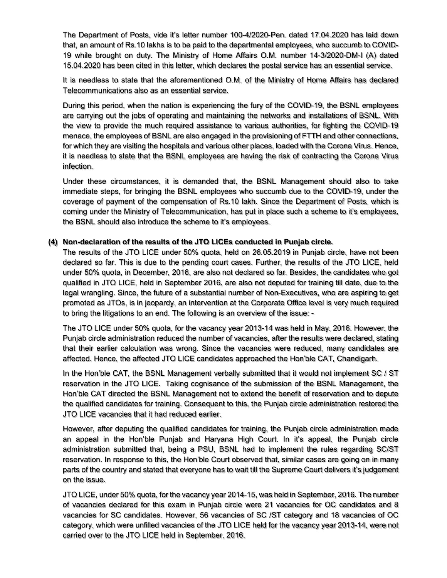The Department of Posts, vide it's letter number 100-4/2020-Pen. dated 17.04.2020 has laid down that, an amount of Rs.10 lakhs is to be paid to the departmental employees, who succumb to COVID-19 while brought on duty. The Ministry of Home Affairs O.M. number 14-3/2020-DM-I (A) dated 15.04.2020 has been cited in this letter, which declares the postal service has an essential service.

It is needless to state that the aforementioned O.M. of the Ministry of Home Affairs has declared Telecommunications also as an essential service.

During this period, when the nation is experiencing the fury of the COVID-19, the BSNL employees are carrying out the jobs of operating and maintaining the networks and installations of BSNL. With the view to provide the much required assistance to various authorities, for fighting the COVID-19 menace, the employees of BSNL are also engaged in the provisioning of FTTH and other connections, for which they are visiting the hospitals and various other places, loaded with the Corona Virus. Hence, it is needless to state that the BSNL employees are having the risk of contracting the Corona Virus infection.

 Under these circumstances, it is demanded that, the BSNL Management should also to take immediate steps, for bringing the BSNL employees who succumb due to the COVID-19, under the coverage of payment of the compensation of Rs.10 lakh. Since the Department of Posts, which is coming under the Ministry of Telecommunication, has put in place such a scheme to it's employees, the BSNL should also introduce the scheme to it's employees.

### (4) Non-declaration of the results of the JTO LICEs conducted in Punjab circle.

The results of the JTO LICE under 50% quota, held on 26.05.2019 in Punjab circle, have not been declared so far. This is due to the pending court cases. Further, the results of the JTO LICE, held under 50% quota, in December, 2016, are also not declared so far. Besides, the candidates who got qualified in JTO LICE, held in September 2016, are also not deputed for training till date, due to the legal wrangling. Since, the future of a substantial number of Non-Executives, who are aspiring to get promoted as JTOs, is in jeopardy, an intervention at the Corporate Office level is very much required to bring the litigations to an end. The following is an overview of the issue: -

 The JTO LICE under 50% quota, for the vacancy year 2013-14 was held in May, 2016. However, the Punjab circle administration reduced the number of vacancies, after the results were declared, stating that their earlier calculation was wrong. Since the vacancies were reduced, many candidates are affected. Hence, the affected JTO LICE candidates approached the Hon'ble CAT, Chandigarh.

In the Hon'ble CAT, the BSNL Management verbally submitted that it would not implement SC / ST reservation in the JTO LICE. Taking cognisance of the submission of the BSNL Management, the Hon'ble CAT directed the BSNL Management not to extend the benefit of reservation and to depute the qualified candidates for training. Consequent to this, the Punjab circle administration restored the JTO LICE vacancies that it had reduced earlier.

 However, after deputing the qualified candidates for training, the Punjab circle administration made an appeal in the Hon'ble Punjab and Haryana High Court. In it's appeal, the Punjab circle administration submitted that, being a PSU, BSNL had to implement the rules regarding SC/ST reservation. In response to this, the Hon'ble Court observed that, similar cases are going on in many parts of the country and stated that everyone has to wait till the Supreme Court delivers it's judgement on the issue.

 JTO LICE, under 50% quota, for the vacancy year 2014-15, was held in September, 2016. The number of vacancies declared for this exam in Punjab circle were 21 vacancies for OC candidates and 8 vacancies for SC candidates. However, 56 vacancies of SC /ST category and 18 vacancies of OC category, which were unfilled vacancies of the JTO LICE held for the vacancy year 2013-14, were not carried over to the JTO LICE held in September, 2016.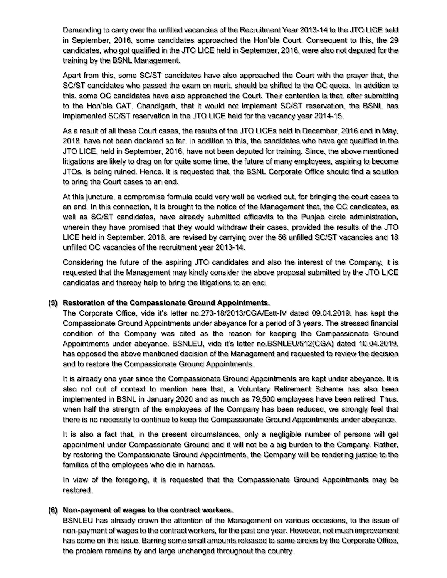Demanding to carry over the unfilled vacancies of the Recruitment Year 2013-14 to the JTO LICE held in September, 2016, some candidates approached the Hon'ble Court. Consequent to this, the 29 candidates, who got qualified in the JTO LICE held in September, 2016, were also not deputed for the training by the BSNL Management.

 Apart from this, some SC/ST candidates have also approached the Court with the prayer that, the SC/ST candidates who passed the exam on merit, should be shifted to the OC quota. In addition to this, some OC candidates have also approached the Court. Their contention is that, after submitting to the Hon'ble CAT, Chandigarh, that it would not implement SC/ST reservation, the BSNL has implemented SC/ST reservation in the JTO LICE held for the vacancy year 2014-15.

 As a result of all these Court cases, the results of the JTO LICEs held in December, 2016 and in May, 2018, have not been declared so far. In addition to this, the candidates who have got qualified in the JTO LICE, held in September, 2016, have not been deputed for training. Since, the above mentioned litigations are likely to drag on for quite some time, the future of many employees, aspiring to become JTOs, is being ruined. Hence, it is requested that, the BSNL Corporate Office should find a solution to bring the Court cases to an end.

 At this juncture, a compromise formula could very well be worked out, for bringing the court cases to an end. In this connection, it is brought to the notice of the Management that, the OC candidates, as well as SC/ST candidates, have already submitted affidavits to the Punjab circle administration, wherein they have promised that they would withdraw their cases, provided the results of the JTO LICE held in September, 2016, are revised by carrying over the 56 unfilled SC/ST vacancies and 18 unfilled OC vacancies of the recruitment year 2013-14.

 Considering the future of the aspiring JTO candidates and also the interest of the Company, it is requested that the Management may kindly consider the above proposal submitted by the JTO LICE candidates and thereby help to bring the litigations to an end.

## (5) Restoration of the Compassionate Ground Appointments.

The Corporate Office, vide it's letter no.273-18/2013/CGA/Estt-IV dated 09.04.2019, has kept the Compassionate Ground Appointments under abeyance for a period of 3 years. The stressed financial condition of the Company was cited as the reason for keeping the Compassionate Ground Appointments under abeyance. BSNLEU, vide it's letter no.BSNLEU/512(CGA) dated 10.04.2019, has opposed the above mentioned decision of the Management and requested to review the decision and to restore the Compassionate Ground Appointments.

It is already one year since the Compassionate Ground Appointments are kept under abeyance. It is also not out of context to mention here that, a Voluntary Retirement Scheme has also been implemented in BSNL in January,2020 and as much as 79,500 employees have been retired. Thus, when half the strength of the employees of the Company has been reduced, we strongly feel that there is no necessity to continue to keep the Compassionate Ground Appointments under abeyance.

It is also a fact that, in the present circumstances, only a negligible number of persons will get appointment under Compassionate Ground and it will not be a big burden to the Company. Rather, by restoring the Compassionate Ground Appointments, the Company will be rendering justice to the families of the employees who die in harness.

In view of the foregoing, it is requested that the Compassionate Ground Appointments may be restored.

## (6) Non-payment of wages to the contract workers.

BSNLEU has already drawn the attention of the Management on various occasions, to the issue of non-payment of wages to the contract workers, for the past one year. However, not much improvement has come on this issue. Barring some small amounts released to some circles by the Corporate Office, the problem remains by and large unchanged throughout the country.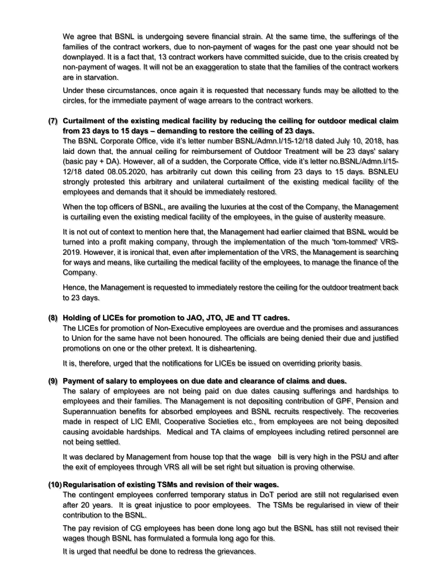We agree that BSNL is undergoing severe financial strain. At the same time, the sufferings of the families of the contract workers, due to non-payment of wages for the past one year should not be downplayed. It is a fact that, 13 contract workers have committed suicide, due to the crisis created by non-payment of wages. It will not be an exaggeration to state that the families of the contract workers are in starvation.

 Under these circumstances, once again it is requested that necessary funds may be allotted to the circles, for the immediate payment of wage arrears to the contract workers.

# (7) Curtailment of the existing medical facility by reducing the ceiling for outdoor medical claim from 23 days to 15 days – demanding to restore the ceiling of 23 days.

The BSNL Corporate Office, vide it's letter number BSNL/Admn.I/15-12/18 dated July 10, 2018, has laid down that, the annual ceiling for reimbursement of Outdoor Treatment will be 23 days' salary (basic pay + DA). However, all of a sudden, the Corporate Office, vide it's letter no.BSNL/Admn.I/15- 12/18 dated 08.05.2020, has arbitrarily cut down this ceiling from 23 days to 15 days. BSNLEU strongly protested this arbitrary and unilateral curtailment of the existing medical facility of the employees and demands that it should be immediately restored.

 When the top officers of BSNL, are availing the luxuries at the cost of the Company, the Management is curtailing even the existing medical facility of the employees, in the guise of austerity measure.

It is not out of context to mention here that, the Management had earlier claimed that BSNL would be turned into a profit making company, through the implementation of the much 'tom-tommed' VRS-2019. However, it is ironical that, even after implementation of the VRS, the Management is searching for ways and means, like curtailing the medical facility of the employees, to manage the finance of the Company.

 Hence, the Management is requested to immediately restore the ceiling for the outdoor treatment back to 23 days.

## (8) Holding of LICEs for promotion to JAO, JTO, JE and TT cadres.

The LICEs for promotion of Non-Executive employees are overdue and the promises and assurances to Union for the same have not been honoured. The officials are being denied their due and justified promotions on one or the other pretext. It is disheartening.

It is, therefore, urged that the notifications for LICEs be issued on overriding priority basis.

#### (9) Payment of salary to employees on due date and clearance of claims and dues.

The salary of employees are not being paid on due dates causing sufferings and hardships to employees and their families. The Management is not depositing contribution of GPF, Pension and Superannuation benefits for absorbed employees and BSNL recruits respectively. The recoveries made in respect of LIC EMI, Cooperative Societies etc., from employees are not being deposited causing avoidable hardships. Medical and TA claims of employees including retired personnel are not being settled.

It was declared by Management from house top that the wage bill is very high in the PSU and after the exit of employees through VRS all will be set right but situation is proving otherwise.

#### (10) Regularisation of existing TSMs and revision of their wages.

The contingent employees conferred temporary status in DoT period are still not regularised even after 20 years. It is great injustice to poor employees. The TSMs be regularised in view of their contribution to the BSNL.

The pay revision of CG employees has been done long ago but the BSNL has still not revised their wages though BSNL has formulated a formula long ago for this.

It is urged that needful be done to redress the grievances.